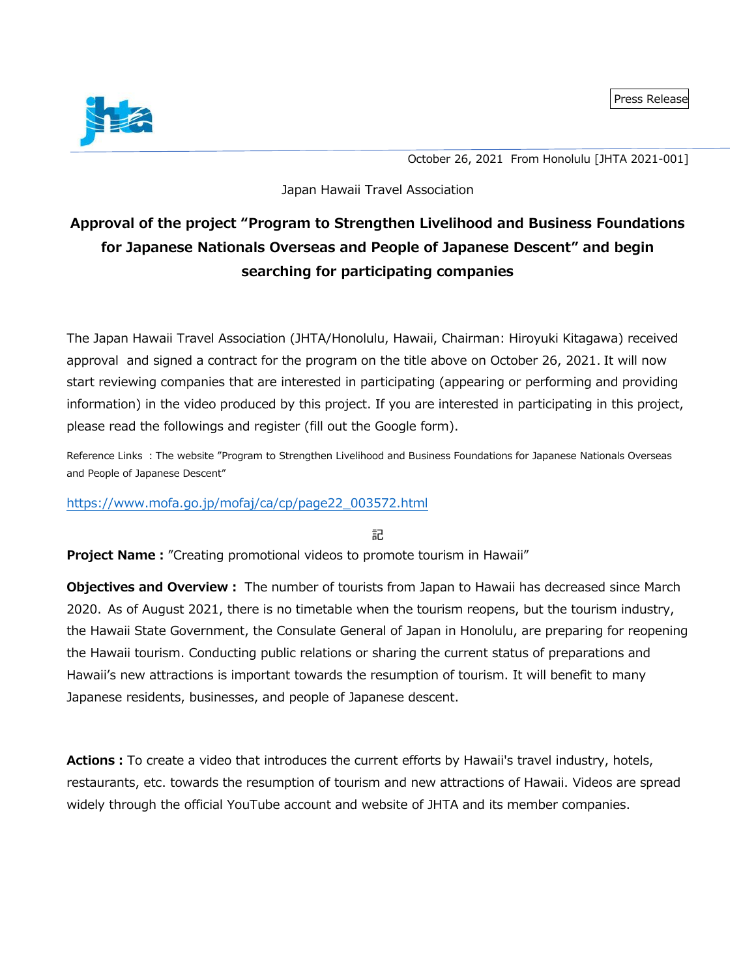

October 26, 2021 From Honolulu [JHTA 2021-001]

#### Japan Hawaii Travel Association

# **Approval of the project "Program to Strengthen Livelihood and Business Foundations for Japanese Nationals Overseas and People of Japanese Descent" and begin searching for participating companies**

The Japan Hawaii Travel Association (JHTA/Honolulu, Hawaii, Chairman: Hiroyuki Kitagawa) received approval and signed a contract for the program on the title above on October 26, 2021. It will now start reviewing companies that are interested in participating (appearing or performing and providing information) in the video produced by this project. If you are interested in participating in this project, please read the followings and register (fill out the Google form).

Reference Links : The website "Program to Strengthen Livelihood and Business Foundations for Japanese Nationals Overseas and People of Japanese Descent"

#### [https://www.mofa.go.jp/mofaj/ca/cp/page22\\_003572.html](https://www.mofa.go.jp/mofaj/ca/cp/page22_003572.html)

記

**Project Name:**"Creating promotional videos to promote tourism in Hawaii"

**Objectives and Overview:** The number of tourists from Japan to Hawaii has decreased since March 2020. As of August 2021, there is no timetable when the tourism reopens, but the tourism industry, the Hawaii State Government, the Consulate General of Japan in Honolulu, are preparing for reopening the Hawaii tourism. Conducting public relations or sharing the current status of preparations and Hawaii's new attractions is important towards the resumption of tourism. It will benefit to many Japanese residents, businesses, and people of Japanese descent.

**Actions:**To create a video that introduces the current efforts by Hawaii's travel industry, hotels, restaurants, etc. towards the resumption of tourism and new attractions of Hawaii. Videos are spread widely through the official YouTube account and website of JHTA and its member companies.